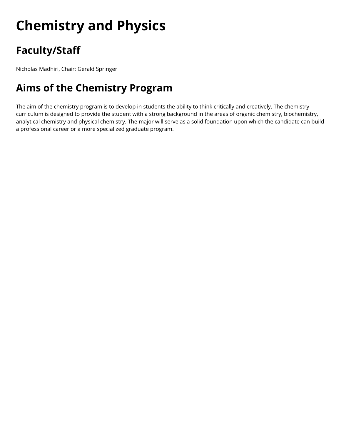# **Chemistry and Physics**

# **Faculty/Staff**

Nicholas Madhiri, Chair; Gerald Springer

# **Aims of the Chemistry Program**

The aim of the chemistry program is to develop in students the ability to think critically and creatively. The chemistry curriculum is designed to provide the student with a strong background in the areas of organic chemistry, biochemistry, analytical chemistry and physical chemistry. The major will serve as a solid foundation upon which the candidate can build a professional career or a more specialized graduate program.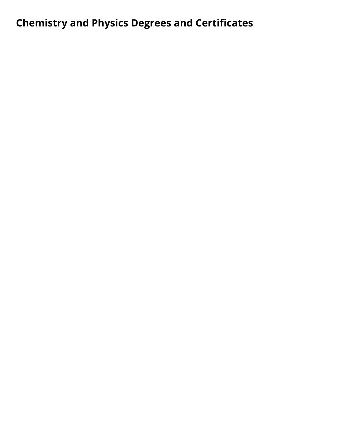# **Chemistry and Physics Degrees and Certificates**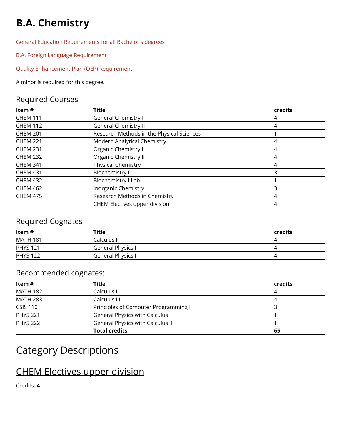# **B.A. Chemistry**

[General Education Requirements for all Bachelor's degrees](http://swaugrad.cleancatalog.net/core-curriculum-for-a-bachelors-degree) 

[B.A. Foreign Language Requirement](http://swaugrad.cleancatalog.net/general-info/ba-foreign-language-requirement) 

[Quality Enhancement Plan \(QEP\) Requirement](http://swaugrad.cleancatalog.net/quality-enhancement-plan-qep) 

A minor is required for this degree.

#### Required Courses

| Item $#$        | <b>Title</b>                              | credits |
|-----------------|-------------------------------------------|---------|
| <b>CHEM 111</b> | <b>General Chemistry I</b>                | 4       |
| <b>CHEM 112</b> | <b>General Chemistry II</b>               | 4       |
| <b>CHEM 201</b> | Research Methods in the Physical Sciences |         |
| <b>CHEM 221</b> | Modern Analytical Chemistry               |         |
| <b>CHEM 231</b> | Organic Chemistry I                       |         |
| <b>CHEM 232</b> | <b>Organic Chemistry II</b>               |         |
| <b>CHEM 341</b> | Physical Chemistry I                      |         |
| <b>CHEM 431</b> | <b>Biochemistry I</b>                     |         |
| <b>CHEM 432</b> | Biochemistry I Lab                        |         |
| <b>CHEM 462</b> | Inorganic Chemistry                       | 3       |
| <b>CHEM 475</b> | Research Methods in Chemistry             |         |
|                 | CHEM Electives upper division             |         |

#### Required Cognates

| ltem #          | Title                     | credits |
|-----------------|---------------------------|---------|
| <b>MATH 181</b> | Calculus I                |         |
| <b>PHYS 121</b> | General Physics I         |         |
| <b>PHYS 122</b> | <b>General Physics II</b> |         |
|                 |                           |         |

#### Recommended cognates:

| Item #          | Title                                   | credits |
|-----------------|-----------------------------------------|---------|
| <b>MATH 182</b> | Calculus II                             | 4       |
| <b>MATH 283</b> | Calculus III                            | 4       |
| <b>CSIS 110</b> | Principles of Computer Programming I    |         |
| <b>PHYS 221</b> | <b>General Physics with Calculus I</b>  |         |
| <b>PHYS 222</b> | <b>General Physics with Calculus II</b> |         |
|                 | <b>Total credits:</b>                   | 65      |

### Category Descriptions

# CHEM Electives upper division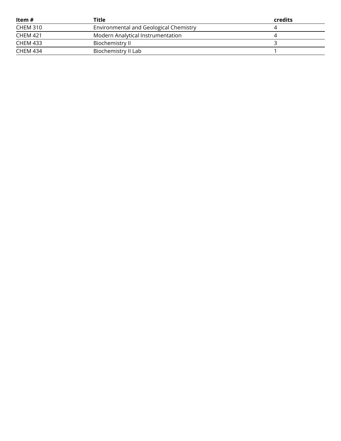| ltem #          | Title                                  | credits |
|-----------------|----------------------------------------|---------|
| <b>CHEM 310</b> | Environmental and Geological Chemistry |         |
| <b>CHEM 421</b> | Modern Analytical Instrumentation      |         |
| <b>CHEM 433</b> | Biochemistry II                        |         |
| CHEM 434        | Biochemistry II Lab                    |         |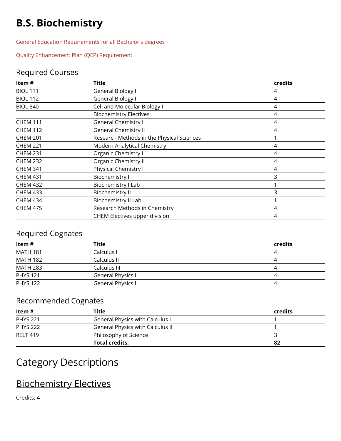# **B.S. Biochemistry**

[General Education Requirements for all Bachelor's degrees](http://swaugrad.cleancatalog.net/core-curriculum-for-a-bachelors-degree) 

[Quality Enhancement Plan \(QEP\) Requirement](http://swaugrad.cleancatalog.net/quality-enhancement-plan-qep) 

#### Required Courses

| Item #          | <b>Title</b>                              | credits |
|-----------------|-------------------------------------------|---------|
| <b>BIOL 111</b> | General Biology I                         | 4       |
| <b>BIOL 112</b> | <b>General Biology II</b>                 | 4       |
| <b>BIOL 340</b> | Cell and Molecular Biology I              | 4       |
|                 | <b>Biochemistry Electives</b>             | 4       |
| <b>CHEM 111</b> | <b>General Chemistry I</b>                | 4       |
| <b>CHEM 112</b> | <b>General Chemistry II</b>               | 4       |
| <b>CHEM 201</b> | Research Methods in the Physical Sciences |         |
| <b>CHEM 221</b> | Modern Analytical Chemistry               | 4       |
| <b>CHEM 231</b> | Organic Chemistry I                       | 4       |
| <b>CHEM 232</b> | Organic Chemistry II                      | 4       |
| <b>CHEM 341</b> | Physical Chemistry I                      | 4       |
| <b>CHEM 431</b> | <b>Biochemistry I</b>                     | 3       |
| <b>CHEM 432</b> | Biochemistry I Lab                        |         |
| <b>CHEM 433</b> | Biochemistry II                           | 3       |
| <b>CHEM 434</b> | Biochemistry II Lab                       |         |
| <b>CHEM 475</b> | Research Methods in Chemistry             | 4       |
|                 | CHEM Electives upper division             |         |

#### Required Cognates

| ltem #          | <b>Title</b>       | <b>credits</b> |
|-----------------|--------------------|----------------|
| <b>MATH 181</b> | Calculus I         |                |
| <b>MATH 182</b> | Calculus II        |                |
| <b>MATH 283</b> | Calculus III       |                |
| <b>PHYS 121</b> | General Physics I  |                |
| <b>PHYS 122</b> | General Physics II |                |

#### Recommended Cognates

| ltem #          | Title                                   | credits |
|-----------------|-----------------------------------------|---------|
| <b>PHYS 221</b> | <b>General Physics with Calculus I</b>  |         |
| <b>PHYS 222</b> | <b>General Physics with Calculus II</b> |         |
| <b>RELT 419</b> | Philosophy of Science                   |         |
|                 | Total credits:                          |         |

### Category Descriptions

# Biochemistry Electives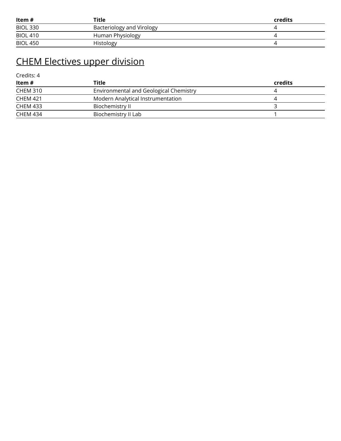| ltem #          | Title                     | credits |
|-----------------|---------------------------|---------|
| <b>BIOL 330</b> | Bacteriology and Virology |         |
| <b>BIOL 410</b> | Human Physiology          |         |
| <b>BIOL 450</b> | Histology                 |         |

# CHEM Electives upper division

| ltem #          | Title                                  | credits |
|-----------------|----------------------------------------|---------|
| CHEM 310        | Environmental and Geological Chemistry |         |
| <b>CHEM 421</b> | Modern Analytical Instrumentation      |         |
| <b>CHEM 433</b> | Biochemistry II                        |         |
| CHEM 434        | Biochemistry II Lab                    |         |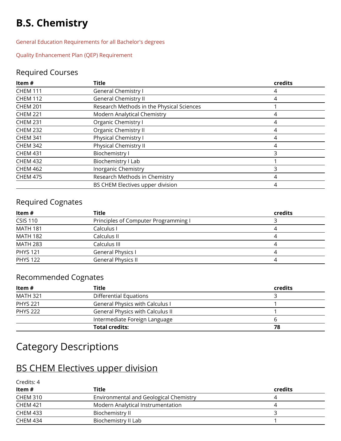# **B.S. Chemistry**

[General Education Requirements for all Bachelor's degrees](http://swaugrad.cleancatalog.net/core-curriculum-for-a-bachelors-degree) 

[Quality Enhancement Plan \(QEP\) Requirement](http://swaugrad.cleancatalog.net/quality-enhancement-plan-qep) 

#### Required Courses

| Item#           | <b>Title</b>                              | credits |
|-----------------|-------------------------------------------|---------|
| <b>CHEM 111</b> | <b>General Chemistry I</b>                | 4       |
| <b>CHEM 112</b> | <b>General Chemistry II</b>               | 4       |
| <b>CHEM 201</b> | Research Methods in the Physical Sciences |         |
| <b>CHEM 221</b> | Modern Analytical Chemistry               | 4       |
| <b>CHEM 231</b> | Organic Chemistry I                       | 4       |
| <b>CHEM 232</b> | Organic Chemistry II                      | 4       |
| <b>CHEM 341</b> | Physical Chemistry I                      | 4       |
| <b>CHEM 342</b> | Physical Chemistry II                     | 4       |
| <b>CHEM 431</b> | <b>Biochemistry I</b>                     | 3       |
| <b>CHEM 432</b> | Biochemistry I Lab                        |         |
| <b>CHEM 462</b> | <b>Inorganic Chemistry</b>                | 3       |
| <b>CHEM 475</b> | Research Methods in Chemistry             | 4       |
|                 | BS CHEM Electives upper division          | 4       |

#### Required Cognates

| Title                                | credits |
|--------------------------------------|---------|
| Principles of Computer Programming I |         |
| Calculus I                           |         |
| Calculus II                          |         |
| Calculus III                         |         |
| General Physics I                    |         |
| General Physics II                   |         |
|                                      |         |

#### Recommended Cognates

| ltem #          | Title                                   | credits |
|-----------------|-----------------------------------------|---------|
| <b>MATH 321</b> | <b>Differential Equations</b>           |         |
| <b>PHYS 221</b> | <b>General Physics with Calculus I</b>  |         |
| <b>PHYS 222</b> | <b>General Physics with Calculus II</b> |         |
|                 | Intermediate Foreign Language           |         |
|                 | <b>Total credits:</b>                   | 78      |

### Category Descriptions

#### BS CHEM Electives upper division

| Credits: 4      |                                        |         |
|-----------------|----------------------------------------|---------|
| Item#           | Title                                  | credits |
| <b>CHEM 310</b> | Environmental and Geological Chemistry |         |
| <b>CHEM 421</b> | Modern Analytical Instrumentation      |         |
| <b>CHEM 433</b> | Biochemistry II                        |         |
| <b>CHEM 434</b> | Biochemistry II Lab                    |         |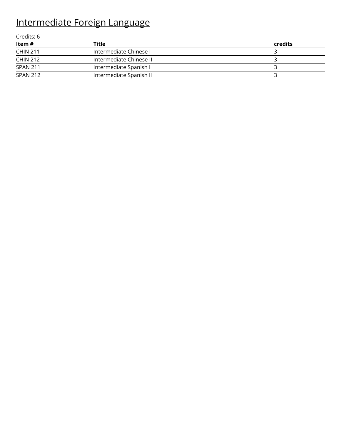# Intermediate Foreign Language

| Credits: 6      |                         |         |
|-----------------|-------------------------|---------|
| Item #          | Title                   | credits |
| <b>CHIN 211</b> | Intermediate Chinese I  |         |
| <b>CHIN 212</b> | Intermediate Chinese II |         |
| SPAN 211        | Intermediate Spanish I  |         |
| SPAN 212        | Intermediate Spanish II |         |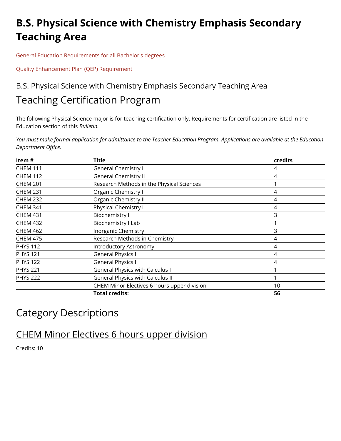# **B.S. Physical Science with Chemistry Emphasis Secondary Teaching Area**

[General Education Requirements for all Bachelor's degrees](http://swaugrad.cleancatalog.net/core-curriculum-for-a-bachelors-degree) 

[Quality Enhancement Plan \(QEP\) Requirement](http://swaugrad.cleancatalog.net/quality-enhancement-plan-qep) 

### B.S. Physical Science with Chemistry Emphasis Secondary Teaching Area Teaching Certification Program

The following Physical Science major is for teaching certification only. Requirements for certification are listed in the Education section of this *Bulletin.* 

*You must make formal application for admittance to the Teacher Education Program. Applications are available at the Education Department Office.* 

| Item#           | <b>Title</b>                                | credits |
|-----------------|---------------------------------------------|---------|
| <b>CHEM 111</b> | <b>General Chemistry I</b>                  | 4       |
| <b>CHEM 112</b> | <b>General Chemistry II</b>                 | 4       |
| <b>CHEM 201</b> | Research Methods in the Physical Sciences   |         |
| <b>CHEM 231</b> | Organic Chemistry I                         | 4       |
| <b>CHEM 232</b> | Organic Chemistry II                        | 4       |
| <b>CHEM 341</b> | Physical Chemistry I                        | 4       |
| <b>CHEM 431</b> | Biochemistry I                              | 3       |
| <b>CHEM 432</b> | Biochemistry I Lab                          |         |
| <b>CHEM 462</b> | <b>Inorganic Chemistry</b>                  | 3       |
| <b>CHEM 475</b> | Research Methods in Chemistry               | 4       |
| <b>PHYS 112</b> | <b>Introductory Astronomy</b>               | 4       |
| <b>PHYS 121</b> | <b>General Physics I</b>                    | 4       |
| <b>PHYS 122</b> | <b>General Physics II</b>                   | 4       |
| <b>PHYS 221</b> | <b>General Physics with Calculus I</b>      |         |
| <b>PHYS 222</b> | <b>General Physics with Calculus II</b>     |         |
|                 | CHEM Minor Electives 6 hours upper division | 10      |
|                 | <b>Total credits:</b>                       | 56      |

### Category Descriptions

#### CHEM Minor Electives 6 hours upper division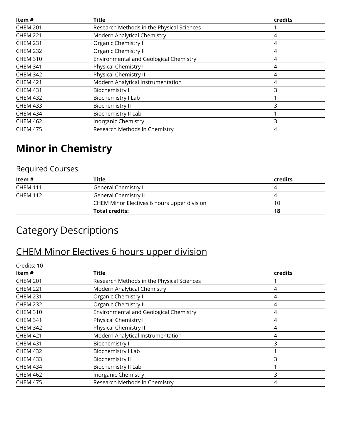| Item#           | <b>Title</b>                                  | credits |
|-----------------|-----------------------------------------------|---------|
| <b>CHEM 201</b> | Research Methods in the Physical Sciences     |         |
| <b>CHEM 221</b> | Modern Analytical Chemistry                   | 4       |
| <b>CHEM 231</b> | Organic Chemistry I                           |         |
| <b>CHEM 232</b> | Organic Chemistry II                          | 4       |
| <b>CHEM 310</b> | <b>Environmental and Geological Chemistry</b> | 4       |
| <b>CHEM 341</b> | <b>Physical Chemistry I</b>                   | 4       |
| <b>CHEM 342</b> | Physical Chemistry II                         |         |
| <b>CHEM 421</b> | Modern Analytical Instrumentation             | 4       |
| <b>CHEM 431</b> | <b>Biochemistry I</b>                         |         |
| <b>CHEM 432</b> | Biochemistry I Lab                            |         |
| <b>CHEM 433</b> | Biochemistry II                               |         |
| <b>CHEM 434</b> | Biochemistry II Lab                           |         |
| <b>CHEM 462</b> | Inorganic Chemistry                           | 3       |
| <b>CHEM 475</b> | Research Methods in Chemistry                 |         |

# **Minor in Chemistry**

#### Required Courses

| ltem #          | <b>Title</b>                                | credits |
|-----------------|---------------------------------------------|---------|
| <b>CHEM 111</b> | General Chemistry I                         |         |
| <b>CHEM 112</b> | General Chemistry II                        |         |
|                 | CHEM Minor Electives 6 hours upper division | 10      |
|                 | <b>Total credits:</b>                       | 18      |

# Category Descriptions

### CHEM Minor Electives 6 hours upper division

| Credits: 10     |                                           |                |
|-----------------|-------------------------------------------|----------------|
| Item $#$        | Title                                     | <b>credits</b> |
| <b>CHEM 201</b> | Research Methods in the Physical Sciences |                |
| <b>CHEM 221</b> | Modern Analytical Chemistry               | 4              |
| <b>CHEM 231</b> | Organic Chemistry I                       | 4              |
| <b>CHEM 232</b> | Organic Chemistry II                      | 4              |
| <b>CHEM 310</b> | Environmental and Geological Chemistry    | 4              |
| <b>CHEM 341</b> | Physical Chemistry I                      | 4              |
| <b>CHEM 342</b> | Physical Chemistry II                     | 4              |
| <b>CHEM 421</b> | Modern Analytical Instrumentation         | 4              |
| <b>CHEM 431</b> | <b>Biochemistry I</b>                     | 3              |
| <b>CHEM 432</b> | Biochemistry I Lab                        |                |
| <b>CHEM 433</b> | Biochemistry II                           | 3              |
| <b>CHEM 434</b> | Biochemistry II Lab                       |                |
| <b>CHEM 462</b> | Inorganic Chemistry                       | 3              |
| <b>CHEM 475</b> | Research Methods in Chemistry             | 4              |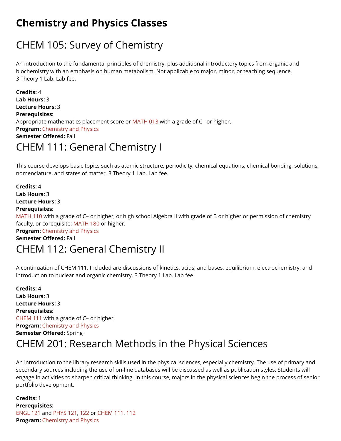# **Chemistry and Physics Classes**

# CHEM 105: Survey of Chemistry

An introduction to the fundamental principles of chemistry, plus additional introductory topics from organic and biochemistry with an emphasis on human metabolism. Not applicable to major, minor, or teaching sequence. 3 Theory 1 Lab. Lab fee.

**Credits:** 4 **Lab Hours:** 3 **Lecture Hours:** 3 **Prerequisites:**  Appropriate mathematics placement score or [MATH 013](http://swaugrad.cleancatalog.net/mathematics/math-013) with a grade of C– or higher. **Program: Chemistry and Physics Semester Offered:** Fall

### CHEM 111: General Chemistry I

This course develops basic topics such as atomic structure, periodicity, chemical equations, chemical bonding, solutions, nomenclature, and states of matter. 3 Theory 1 Lab. Lab fee.

**Credits:** 4 **Lab Hours:** 3 **Lecture Hours:** 3 **Prerequisites:** 

[MATH 110](http://swaugrad.cleancatalog.net/mathematics/math-110) with a grade of C– or higher, or high school Algebra II with grade of B or higher or permission of chemistry faculty, or corequisite: [MATH 180](http://swaugrad.cleancatalog.net/mathematics/math-180) or higher.

**Program: Chemistry and Physics** 

**Semester Offered:** Fall

### CHEM 112: General Chemistry II

A continuation of CHEM 111. Included are discussions of kinetics, acids, and bases, equilibrium, electrochemistry, and introduction to nuclear and organic chemistry. 3 Theory 1 Lab. Lab fee.

**Credits:** 4 **Lab Hours:** 3 **Lecture Hours:** 3 **Prerequisites:**  [CHEM 111](http://swaugrad.cleancatalog.net/chemistry-and-physics/chem-111) with a grade of C– or higher. **Program: Chemistry and Physics Semester Offered:** Spring

### CHEM 201: Research Methods in the Physical Sciences

An introduction to the library research skills used in the physical sciences, especially chemistry. The use of primary and secondary sources including the use of on-line databases will be discussed as well as publication styles. Students will engage in activities to sharpen critical thinking. In this course, majors in the physical sciences begin the process of senior portfolio development.

**Credits:** 1 **Prerequisites:**  [ENGL 121](http://swaugrad.cleancatalog.net/english/engl-121) and [PHYS 121,](http://swaugrad.cleancatalog.net/chemistry-and-physics/phys-121) [122 o](http://swaugrad.cleancatalog.net/chemistry-and-physics/phys-122)r [CHEM 111,](http://swaugrad.cleancatalog.net/chemistry-and-physics/chem-111) [112](http://swaugrad.cleancatalog.net/chemistry-and-physics/chem-112)  **Program: Chemistry and Physics**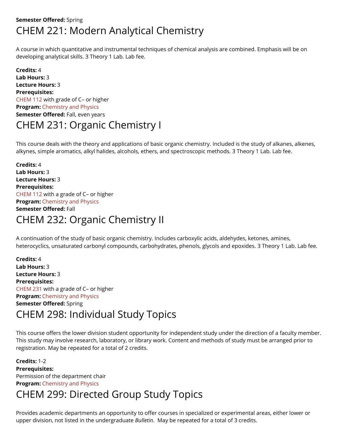#### **Semester Offered:** Spring CHEM 221: Modern Analytical Chemistry

A course in which quantitative and instrumental techniques of chemical analysis are combined. Emphasis will be on developing analytical skills. 3 Theory 1 Lab. Lab fee.

**Credits:** 4 **Lab Hours:** 3 **Lecture Hours:** 3 **Prerequisites:**  [CHEM 112](http://swaugrad.cleancatalog.net/chemistry-and-physics/chem-112) with grade of C– or higher **Program: Chemistry and Physics Semester Offered: Fall, even years** CHEM 231: Organic Chemistry I

This course deals with the theory and applications of basic organic chemistry. Included is the study of alkanes, alkenes, alkynes, simple aromatics, alkyl halides, alcohols, ethers, and spectroscopic methods. 3 Theory 1 Lab. Lab fee.

**Credits:** 4 **Lab Hours:** 3 **Lecture Hours:** 3 **Prerequisites:**  [CHEM 112](http://swaugrad.cleancatalog.net/chemistry-and-physics/chem-112) with a grade of C– or higher **Program:** [Chemistry and Physics](http://swaugrad.cleancatalog.net/chemistry-and-physics)  **Semester Offered:** Fall

### CHEM 232: Organic Chemistry II

A continuation of the study of basic organic chemistry. Includes carboxylic acids, aldehydes, ketones, amines, heterocyclics, unsaturated carbonyl compounds, carbohydrates, phenols, glycols and epoxides. 3 Theory 1 Lab. Lab fee.

**Credits:** 4 **Lab Hours:** 3 **Lecture Hours:** 3 **Prerequisites:**  [CHEM 231](http://swaugrad.cleancatalog.net/chemistry-and-physics/chem-231) with a grade of C– or higher **Program: Chemistry and Physics Semester Offered:** Spring

# CHEM 298: Individual Study Topics

This course offers the lower division student opportunity for independent study under the direction of a faculty member. This study may involve research, laboratory, or library work. Content and methods of study must be arranged prior to registration. May be repeated for a total of 2 credits.

**Credits:** 1 - 2 **Prerequisites:**  Permission of the department chair **Program: Chemistry and Physics** 

# CHEM 299: Directed Group Study Topics

Provides academic departments an opportunity to offer courses in specialized or experimental areas, either lower or upper division, not listed in the undergraduate *Bulletin*. May be repeated for a total of 3 credits.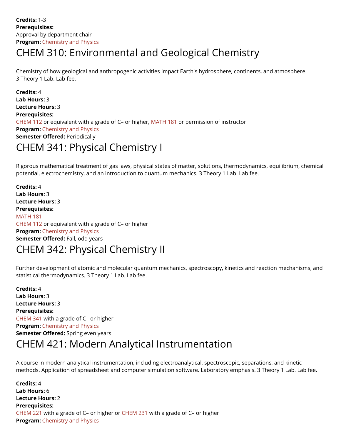## CHEM 310: Environmental and Geological Chemistry

Chemistry of how geological and anthropogenic activities impact Earth's hydrosphere, continents, and atmosphere. 3 Theory 1 Lab. Lab fee.

**Credits:** 4 **Lab Hours:** 3 **Lecture Hours:** 3 **Prerequisites:**  [CHEM 112](http://swaugrad.cleancatalog.net/chemistry-and-physics/chem-112) or equivalent with a grade of C– or higher, [MATH 181](http://swaugrad.cleancatalog.net/mathematics/math-181) or permission of instructor **Program:** Chemistry and Physics **Semester Offered: Periodically** 

### CHEM 341: Physical Chemistry I

Rigorous mathematical treatment of gas laws, physical states of matter, solutions, thermodynamics, equilibrium, chemical potential, electrochemistry, and an introduction to quantum mechanics. 3 Theory 1 Lab. Lab fee.

**Credits:** 4 **Lab Hours:** 3 **Lecture Hours:** 3 **Prerequisites:**  [MATH 181](http://swaugrad.cleancatalog.net/mathematics/math-181)  [CHEM 112](http://swaugrad.cleancatalog.net/chemistry-and-physics/chem-112) or equivalent with a grade of C– or higher **Program: Chemistry and Physics Semester Offered: Fall, odd years** 

### CHEM 342: Physical Chemistry II

Further development of atomic and molecular quantum mechanics, spectroscopy, kinetics and reaction mechanisms, and statistical thermodynamics. 3 Theory 1 Lab. Lab fee.

**Credits:** 4 **Lab Hours:** 3 **Lecture Hours:** 3 **Prerequisites:**  [CHEM 341](http://swaugrad.cleancatalog.net/chemistry-and-physics/chem-341) with a grade of C– or higher **Program: Chemistry and Physics Semester Offered:** Spring even years

### CHEM 421: Modern Analytical Instrumentation

A course in modern analytical instrumentation, including electroanalytical, spectroscopic, separations, and kinetic methods. Application of spreadsheet and computer simulation software. Laboratory emphasis. 3 Theory 1 Lab. Lab fee.

**Credits:** 4 **Lab Hours:** 6 **Lecture Hours:** 2 **Prerequisites:**  [CHEM 221](http://swaugrad.cleancatalog.net/chemistry-and-physics/chem-221) with a grade of C– or higher or [CHEM 231](http://swaugrad.cleancatalog.net/chemistry-and-physics/chem-231) with a grade of C– or higher **Program: Chemistry and Physics**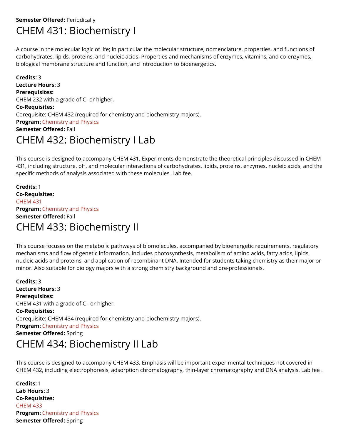#### **Semester Offered: Periodically** CHEM 431: Biochemistry I

A course in the molecular logic of life; in particular the molecular structure, nomenclature, properties, and functions of carbohydrates, lipids, proteins, and nucleic acids. Properties and mechanisms of enzymes, vitamins, and co-enzymes, biological membrane structure and function, and introduction to bioenergetics.

**Credits:** 3 **Lecture Hours:** 3 **Prerequisites:**  CHEM 232 with a grade of C- or higher. **Co-Requisites:**  Corequisite: CHEM 432 (required for chemistry and biochemistry majors). **Program: Chemistry and Physics Semester Offered:** Fall

## CHEM 432: Biochemistry I Lab

This course is designed to accompany CHEM 431. Experiments demonstrate the theoretical principles discussed in CHEM 431, including structure, pH, and molecular interactions of carbohydrates, lipids, proteins, enzymes, nucleic acids, and the specific methods of analysis associated with these molecules. Lab fee.

**Credits:** 1 **Co-Requisites:**  [CHEM 431](http://swaugrad.cleancatalog.net/chemistry-and-physics/chem-431)  **Program: Chemistry and Physics Semester Offered:** Fall CHEM 433: Biochemistry II

This course focuses on the metabolic pathways of biomolecules, accompanied by bioenergetic requirements, regulatory mechanisms and flow of genetic information. Includes photosynthesis, metabolism of amino acids, fatty acids, lipids, nucleic acids and proteins, and application of recombinant DNA. Intended for students taking chemistry as their major or minor. Also suitable for biology majors with a strong chemistry background and pre-professionals.

**Credits:** 3 **Lecture Hours:** 3 **Prerequisites:**  CHEM 431 with a grade of C– or higher. **Co-Requisites:**  Corequisite: CHEM 434 (required for chemistry and biochemistry majors). **Program: Chemistry and Physics Semester Offered:** Spring CHEM 434: Biochemistry II Lab

This course is designed to accompany CHEM 433. Emphasis will be important experimental techniques not covered in CHEM 432, including electrophoresis, adsorption chromatography, thin-layer chromatography and DNA analysis. Lab fee .

**Credits:** 1 **Lab Hours:** 3 **Co-Requisites:**  [CHEM 433](http://swaugrad.cleancatalog.net/chemistry-and-physics/chem-433)  **Program:** [Chemistry and Physics](http://swaugrad.cleancatalog.net/chemistry-and-physics)  **Semester Offered:** Spring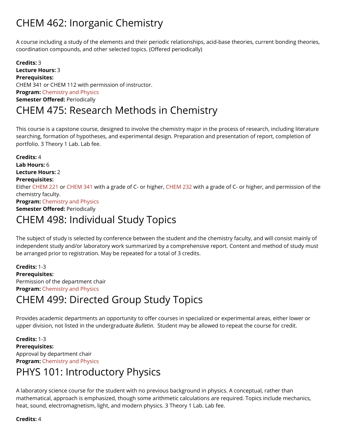# CHEM 462: Inorganic Chemistry

A course including a study of the elements and their periodic relationships, acid-base theories, current bonding theories, coordination compounds, and other selected topics. (Offered periodically)

**Credits:** 3 **Lecture Hours:** 3 **Prerequisites:**  CHEM 341 or CHEM 112 with permission of instructor. **Program: Chemistry and Physics Semester Offered: Periodically** 

#### CHEM 475: Research Methods in Chemistry

This course is a capstone course, designed to involve the chemistry major in the process of research, including literature searching, formation of hypotheses, and experimental design. Preparation and presentation of report, completion of portfolio. 3 Theory 1 Lab. Lab fee.

**Credits:** 4 **Lab Hours:** 6 **Lecture Hours:** 2 **Prerequisites:**  Either [CHEM 221](http://swaugrad.cleancatalog.net/chemistry-and-physics/chem-221) or [CHEM 341](http://swaugrad.cleancatalog.net/chemistry-and-physics/chem-341) with a grade of C- or higher, [CHEM 232](http://swaugrad.cleancatalog.net/chemistry-and-physics/chem-232) with a grade of C- or higher, and permission of the chemistry faculty. **Program:** [Chemistry and Physics](http://swaugrad.cleancatalog.net/chemistry-and-physics)  **Semester Offered: Periodically** 

### CHEM 498: Individual Study Topics

The subject of study is selected by conference between the student and the chemistry faculty, and will consist mainly of independent study and/or laboratory work summarized by a comprehensive report. Content and method of study must be arranged prior to registration. May be repeated for a total of 3 credits.

**Credits:** 1 - 3 **Prerequisites:**  Permission of the department chair **Program: Chemistry and Physics** 

### CHEM 499: Directed Group Study Topics

Provides academic departments an opportunity to offer courses in specialized or experimental areas, either lower or upper division, not listed in the undergraduate *Bulletin*. Student may be allowed to repeat the course for credit.

**Credits:** 1 - 3 **Prerequisites:**  Approval by department chair **Program: Chemistry and Physics** 

## PHYS 101: Introductory Physics

A laboratory science course for the student with no previous background in physics. A conceptual, rather than mathematical, approach is emphasized, though some arithmetic calculations are required. Topics include mechanics, heat, sound, electromagnetism, light, and modern physics. 3 Theory 1 Lab. Lab fee.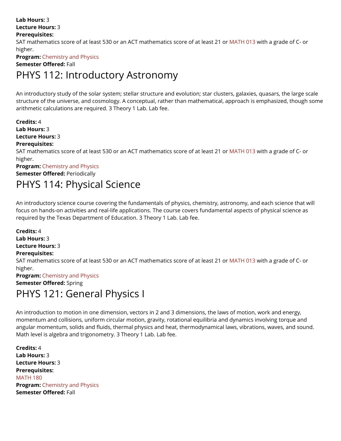**Lab Hours:** 3 **Lecture Hours:** 3 **Prerequisites:**  SAT mathematics score of at least 530 or an ACT mathematics score of at least 21 or [MATH 013](http://swaugrad.cleancatalog.net/mathematics/math-013) with a grade of C- or higher. **Program: Chemistry and Physics Semester Offered:** Fall PHYS 112: Introductory Astronomy

An introductory study of the solar system; stellar structure and evolution; star clusters, galaxies, quasars, the large scale structure of the universe, and cosmology. A conceptual, rather than mathematical, approach is emphasized, though some arithmetic calculations are required. 3 Theory 1 Lab. Lab fee.

**Credits:** 4 **Lab Hours:** 3 **Lecture Hours:** 3 **Prerequisites:**  SAT mathematics score of at least 530 or an ACT mathematics score of at least 21 or [MATH 013](http://swaugrad.cleancatalog.net/mathematics/math-013) with a grade of C- or higher. **Program: Chemistry and Physics Semester Offered: Periodically** 

# PHYS 114: Physical Science

An introductory science course covering the fundamentals of physics, chemistry, astronomy, and each science that will focus on hands-on activities and real-life applications. The course covers fundamental aspects of physical science as required by the Texas Department of Education. 3 Theory 1 Lab. Lab fee.

**Credits:** 4 **Lab Hours:** 3 **Lecture Hours:** 3 **Prerequisites:**  SAT mathematics score of at least 530 or an ACT mathematics score of at least 21 or [MATH 013](http://swaugrad.cleancatalog.net/mathematics/math-013) with a grade of C- or higher. **Program: Chemistry and Physics Semester Offered:** Spring

# PHYS 121: General Physics I

An introduction to motion in one dimension, vectors in 2 and 3 dimensions, the laws of motion, work and energy, momentum and collisions, uniform circular motion, gravity, rotational equilibria and dynamics involving torque and angular momentum, solids and fluids, thermal physics and heat, thermodynamical laws, vibrations, waves, and sound. Math level is algebra and trigonometry. 3 Theory 1 Lab. Lab fee.

**Credits:** 4 **Lab Hours:** 3 **Lecture Hours:** 3 **Prerequisites:**  [MATH 180](http://swaugrad.cleancatalog.net/mathematics/math-180)  **Program: Chemistry and Physics Semester Offered:** Fall